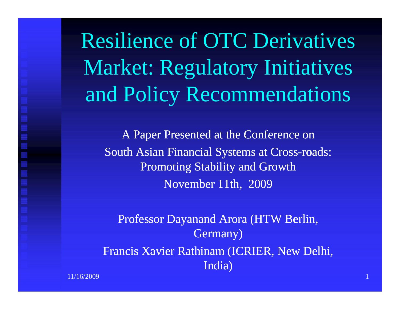Resilience of OTC Derivatives Market: Regulatory Initiatives and Policy Recommendations

A Paper Presented at the Conference on South Asian Financial Systems at Cross-roads: Promoting Stability and Growth November 11th, 2009

Professor Dayanand Arora (HTW Berlin, Germany) Francis Xavier Rathinam (ICRIER, New Delhi, India)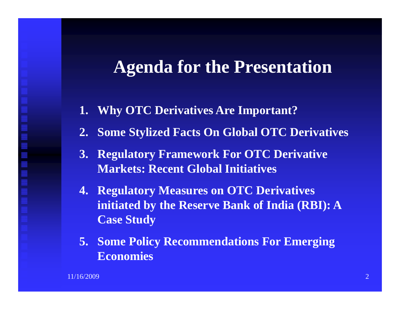## **Agenda for the Presentation**

- **1. Why OTC Derivatives Are Important?**
- **2. Some Stylized Facts On Global OTC Derivatives**
- **3. Regulatory Framework For OTC Derivative Markets: Recent Global Initiatives**
- **4. Regulatory Measures on OTC Derivatives initiated by the Reserve Bank of India (RBI): A Case Study**
- **5. Some Policy Recommendations For Emerging E i Economies**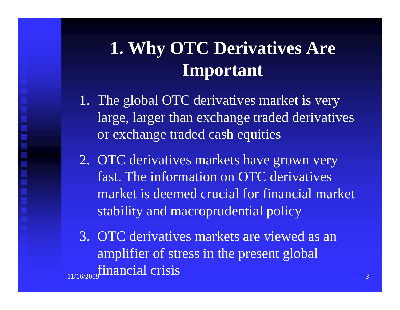# **1. Why OTC Derivatives Are Important**

- 1. The global OTC derivatives market is very large, larger than exchange traded derivatives or exchange traded cash equities
- 2. OTC derivatives markets have grown very fast. The information on OTC derivatives market is deemed crucial for financial marketstability and macroprudential policy
- 3. OTC derivatives markets are viewed as an amplifier of stress in the presen<sup>t</sup> global 11/16/2009 $\sigma$  and  $\sigma$  and  $\sigma$  and  $\sigma$ financial crisis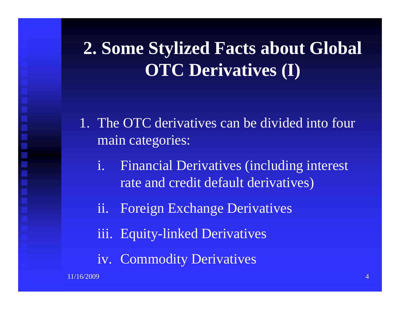# **2. Some Stylized Facts about Global OTC Derivatives (I)**

- 1. The OTC derivatives can be divided into four main categories:
	- i. Financial Derivatives (including interest rate and credit default derivatives)
	- ii. Foreign Exchange Derivatives
	- iii. Equity-linked Derivatives
	- iv. Commodity Derivatives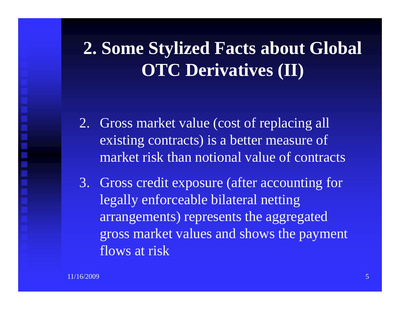# **2. Some Stylized Facts about Global OTC Derivatives (II)**

- 2. Gross market value (cost of replacing all existing contracts) is a better measure of market risk than notional value of contracts
- 3. Gross credit exposure (after accounting for legally enforceable bilateral netting arrangements) represents the aggregated gross market values and shows the paymen<sup>t</sup> flows at risk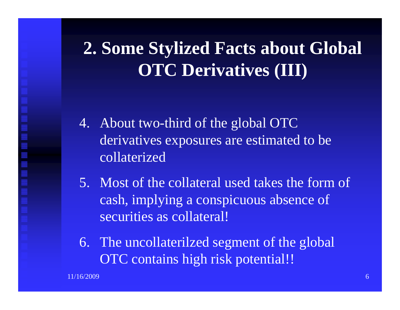# **2. Some Stylized Facts about Global OTC Derivatives (III)**

- 4. About two-third of the global OTC derivatives exposures are estimated to be collaterized
- 5. Most of the collateral used takes the form of cash, implying a conspicuous absence of securities as collateral!
- 6. The uncollaterilzed segment of the global OTC contains high risk potential!!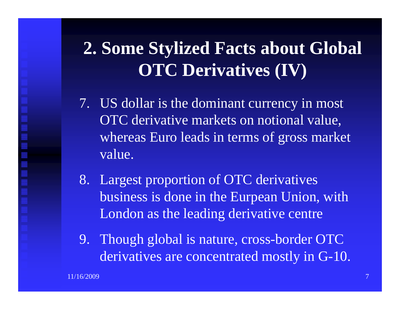# **2. Some Stylized Facts about Global OTC Derivatives (IV)**

- 7. US dollar is the dominant currency in most OTC derivative markets on notional value, whereas Euro leads in terms of gross market value.
- 8. Largest proportion of OTC derivatives business is done in the Eurpean Union, with London as the leading derivative centre
- 9. Though global is nature, cross-border OTC derivatives are concentrated mostly in G-10.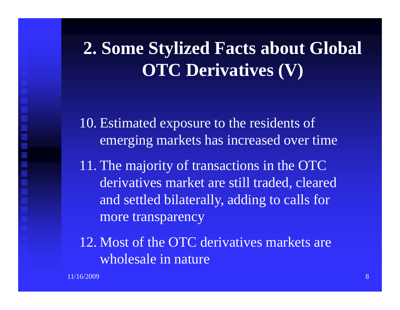## **2. Some Stylized Facts about Global OTC Derivatives (V)**

10. Estimated exposure to the residents of emerging markets has increased over time

11. The majority of transactions in the OTC derivatives market are still traded, cleared and settled bilaterally, adding to calls for more transparency

12. Most of the OTC derivatives markets are wholesale in nature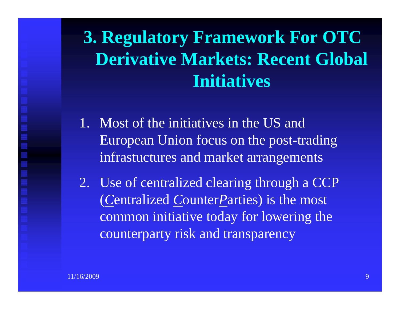# **3. Regulatory Framework For OTC Derivative Markets : Recent Global Initiatives**

- 1. Most of the initiatives in the US andEuropean Un ion focus on t h e post-trading infrastuctures and market arrangements
- 2. Use of centralized clearing through a CCP ( *C*entralized *C*ounter*P*arties) is the most common initiative today for lowering the counterparty risk and transparency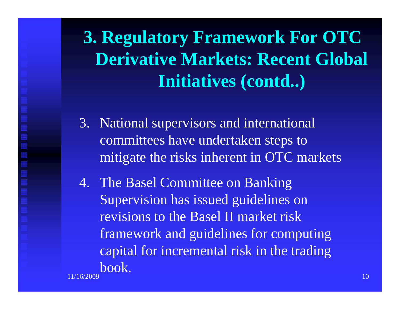**3. Regulatory Framework For OTC Derivative Markets : Recent Global Initiatives (contd..)**

- 3. National supervisors and international committees have undertaken steps to mitigate the risks inherent in OTC markets
- 4. The Basel Committee on Banking Supervision has issued guidelines on revisions to the Basel II market risk framework and guidelines for computing capital for incremental risk in the trading 11/16/2009 $9\,$  and the set of the set of the set of the set of the set of the set of the set of the set of the set of the set of the set of the set of the set of the set of the set of the set of the set of the set of the set of th book.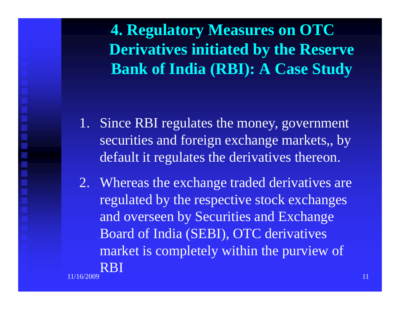**4. Regulatory Measures on OTC Derivatives initiated b y the Reserve Bank of India (RBI): A Case Study**

- 1. Since RBI regulates the money, governmen<sup>t</sup> securities and foreign exchange markets,, by default it regulates the derivatives thereon.
- 2. Whereas the exchange traded derivatives are regulated by the respective stock exchanges and overseen by Securities and Exchange Board of India (SEBI), OTC derivatives market is completely within the purview of 11/16/2009 $9$  and the contract of the contract of the contract of the contract of the contract of the contract of  $11$ RBI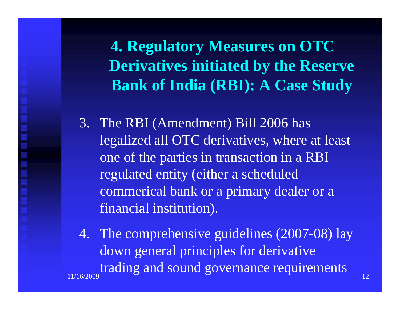**4. Regulatory Measures on OTC Derivatives initiated b y the Reserve Bank of India (RBI): A Case Study**

3. The RBI (Amendment) Bill 2006 has legalized all OTC derivatives, where at least one of the parties in transaction in a RBI regulated entity (either a scheduled commerical bank or a primary dealer or <sup>a</sup> financial institution ).

4. The comprehensive guidelines (2007-08) lay down general principles for derivative 11/16/2009 $\sim$  12 trading and sound governance requirements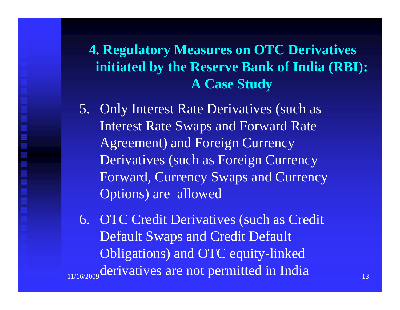## **4. Regulatory Measures on OTC Derivatives initiated by the Reserve Bank of India (RBI): A Case Study**

5. Only Interest Rate Derivatives (such as Interest Rate Swaps and Forward Rate Agreement) and Foreign Currency Derivatives (such as Foreign Currency Forward, Currency Swaps and Currency Options) are allowed

6. OTC Credit Derivatives (such as Credit Default Swaps and Credit Default Obligations) and OTC equity linked 11/16/2009Obligations) and OTC equity-linked<br>
<sub>9</sub> derivatives are not permitted in India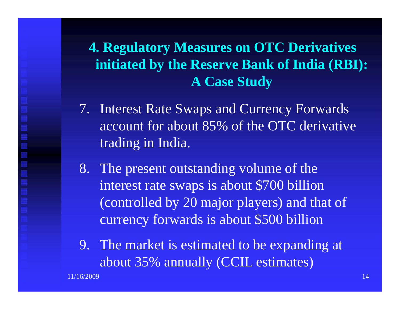## **4. Regulatory Measures on OTC Derivatives initiated by the Reserve Bank of India (RBI): A Case Study**

- 7. Interest Rate Swaps and Currency Forwards account for about 85% of the OTC derivative trading in India.
- 8. The presen<sup>t</sup> outstandin g volume of the interest rate swaps is about \$700 billion (controlled by 20 major players) and that of currency forwards is about \$500 billion
- 9. The market is estimate d to be ex pandin g at p about 35% annually (CCIL estimates)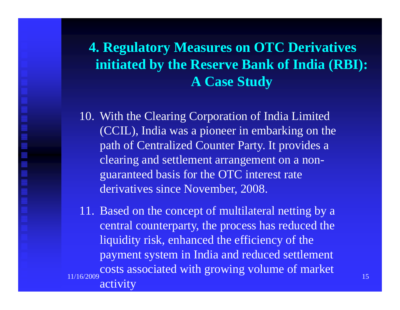## **4. Regulatory Measures on OTC Derivatives initiated by the Reserve Bank of India (RBI): A Case Study**

10. With the Clearing Corporation of India Limited (CCIL), India was a pioneer in embarking on the path of Centralized Counter Party. It provides <sup>a</sup> clearing and settlement arrangemen<sup>t</sup> on a nonguaranteed basis for the OTC interest rate derivatives since November, 2008.

11. Based on the concep<sup>t</sup> of multilateral netting by a central counterparty, the process has reduced the liquidity risk, enhanced the efficiency of the payment system in India and reduced settlement 11/16/2009 $\sim$  15 costs associated with growing volume of market activity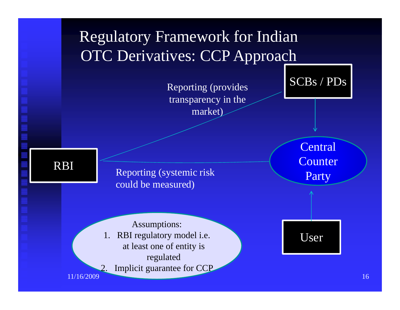## Regulatory Framework for Indian OTC Derivatives: CCP Approach

 Reporting (provides transparency in the market)

SCBs / PDs

RBI

Reporting (systemic risk Reporting (systemic risk Reporting to the measured)

**Central Counter** Party

User

Assumptions: 1. RBI regulatory model i.e. at least one of entity is regulate d 2. Implicit guarantee for CCP

11/16/2009

 $\overline{9}$  and  $\overline{16}$  and  $\overline{16}$  and  $\overline{16}$  and  $\overline{16}$  and  $\overline{16}$  and  $\overline{16}$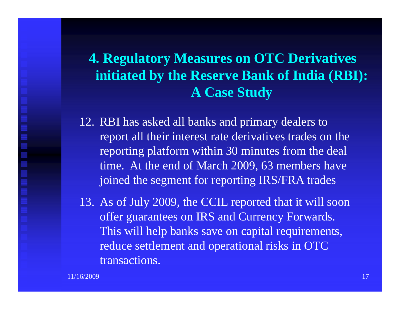## **4. Regulatory Measures on OTC Derivatives initiated by the Reserve Bank of India (RBI): A Case Study**

- 12. RBI has asked all banks and primary dealers to repor<sup>t</sup> all their interest rate derivatives trades on the reporting platform within 30 minutes from the deal time. At the end of March 2009, 63 members have joined the segmen<sup>t</sup> for reporting IRS/FRA trades
- 13. As of July 2009, the CCIL reported that it will soon offer guarantees on IRS and Currency Forwards. This will help banks save on capital requirements, reduce settlement and operational risks in OTC transactions.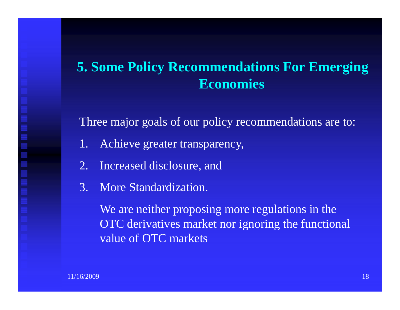#### **5. Some Policy Recommendations For Emerging Economies**

Three major goals of our policy recommendations are to:

- 1. Achieve greater transparency,
- 2. Increased disclosure, and
- 3. More Standardization.

We are neither proposing more regulations in the OTC derivatives market nor ignoring the functional value of OTC markets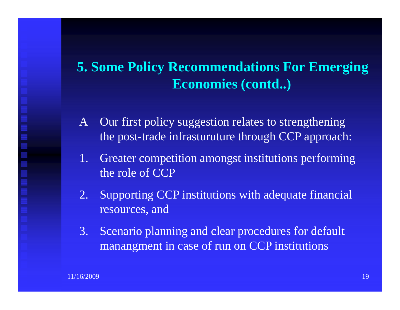#### **5. Some Policy Recommendations For Emerging Economies (contd..)**

- A Our first policy suggestion relates to strengthening the post-trade infrasturuture through CCP approach:
- 1. Greater competition amongs<sup>t</sup> institutions performing the role of CCP
- 2. Supporting CCP institutions with adequate financial resources, and
- 3. Scenario planning and clear procedures for default manangmen<sup>t</sup> in case of run on CCP institutions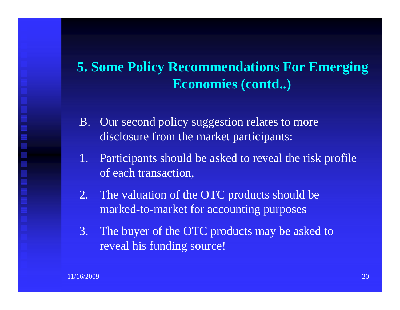#### **5. Some Policy Recommendations For Emerging Economies (contd..)**

- B. Our second policy suggestion relates to more disclosure from the market participants:
- 1. Participants should be asked to reveal the risk profile of each transaction,
- 2. The valuation of the OTC products should be marked-to-market for accounting purposes
- 3. The buyer of the OTC products may be asked to reveal his funding source!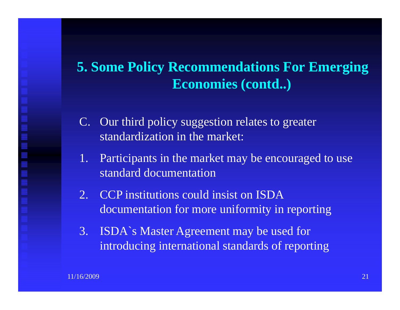#### **5. Some Policy Recommendations For Emerging Economies (contd..)**

- C. Our third policy suggestion relates to greater standardization in the market:
- 1. Participants in the market may be encouraged to use standard documentation
- 2. CCP institutions could insist on ISDA documentation for more uniformity in reporting
- 3. ISDA`s Master Agreement may be used for introducing international standards of reporting